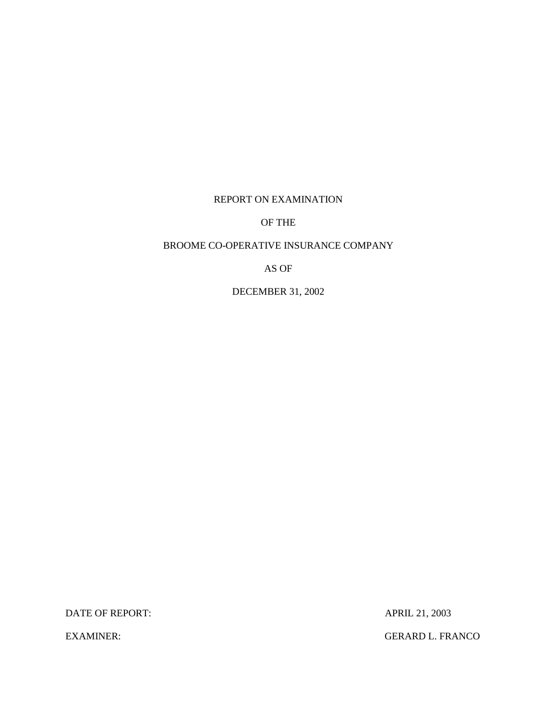## REPORT ON EXAMINATION

## OF THE

# BROOME CO-OPERATIVE INSURANCE COMPANY

AS OF

DECEMBER 31, 2002

DATE OF REPORT: APRIL 21, 2003

EXAMINER: GERARD L. FRANCO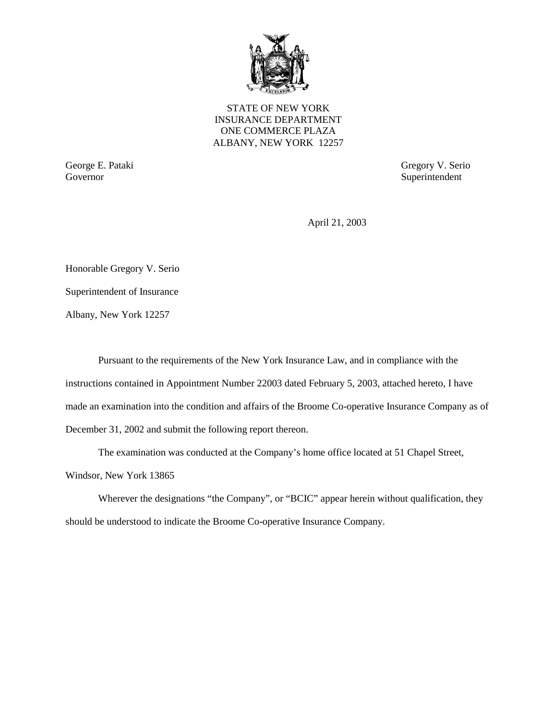

STATE OF NEW YORK INSURANCE DEPARTMENT ONE COMMERCE PLAZA ALBANY, NEW YORK 12257

Governor Superintendent

George E. Pataki Gregory V. Serio

April 21, 2003

Honorable Gregory V. Serio

Superintendent of Insurance

Albany, New York 12257

Pursuant to the requirements of the New York Insurance Law, and in compliance with the instructions contained in Appointment Number 22003 dated February 5, 2003, attached hereto, I have made an examination into the condition and affairs of the Broome Co-operative Insurance Company as of December 31, 2002 and submit the following report thereon.

The examination was conducted at the Company's home office located at 51 Chapel Street,

Windsor, New York 13865

Wherever the designations "the Company", or "BCIC" appear herein without qualification, they should be understood to indicate the Broome Co-operative Insurance Company.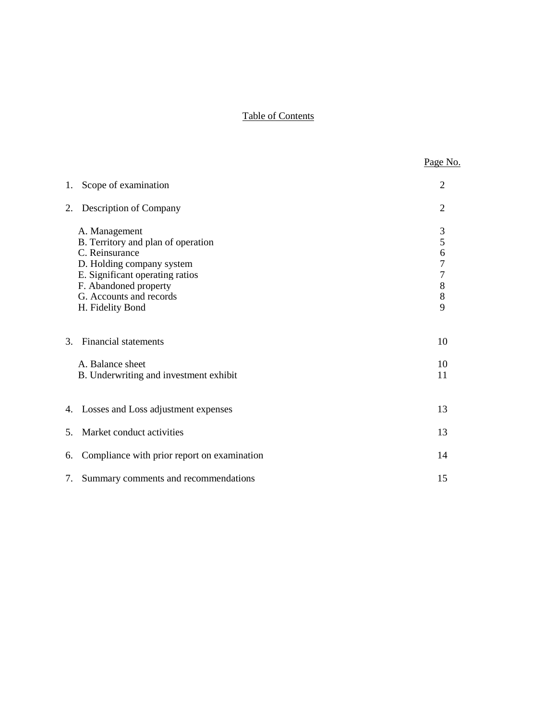# Table of Contents

|                |                                                                                                                                                                                                               | Page No.                                                             |
|----------------|---------------------------------------------------------------------------------------------------------------------------------------------------------------------------------------------------------------|----------------------------------------------------------------------|
| 1.             | Scope of examination                                                                                                                                                                                          | 2                                                                    |
| 2.             | Description of Company                                                                                                                                                                                        | $\overline{2}$                                                       |
|                | A. Management<br>B. Territory and plan of operation<br>C. Reinsurance<br>D. Holding company system<br>E. Significant operating ratios<br>F. Abandoned property<br>G. Accounts and records<br>H. Fidelity Bond | 3<br>5<br>6<br>$\overline{7}$<br>$\overline{7}$<br>8<br>$\,8\,$<br>9 |
| 3.             | <b>Financial statements</b>                                                                                                                                                                                   | 10                                                                   |
|                | A. Balance sheet<br>B. Underwriting and investment exhibit                                                                                                                                                    | 10<br>11                                                             |
|                | 4. Losses and Loss adjustment expenses                                                                                                                                                                        | 13                                                                   |
| 5 <sub>1</sub> | Market conduct activities                                                                                                                                                                                     | 13                                                                   |
| 6.             | Compliance with prior report on examination                                                                                                                                                                   | 14                                                                   |
| 7.             | Summary comments and recommendations                                                                                                                                                                          | 15                                                                   |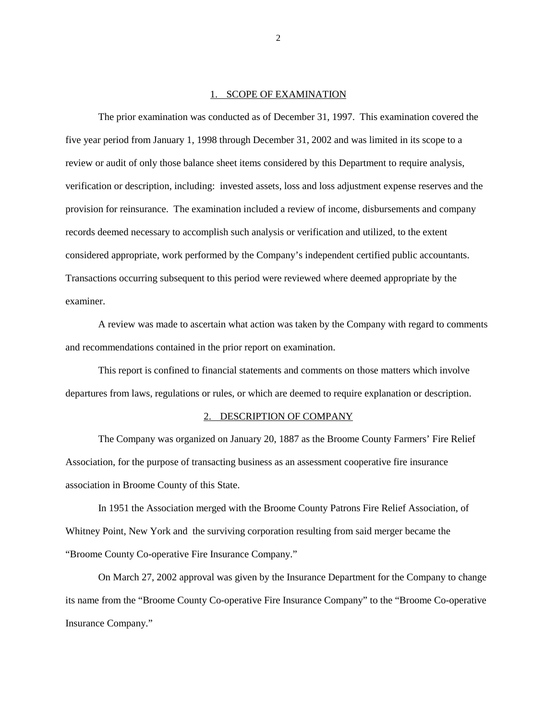#### 1. SCOPE OF EXAMINATION

<span id="page-3-0"></span>The prior examination was conducted as of December 31, 1997. This examination covered the five year period from January 1, 1998 through December 31, 2002 and was limited in its scope to a review or audit of only those balance sheet items considered by this Department to require analysis, verification or description, including: invested assets, loss and loss adjustment expense reserves and the provision for reinsurance. The examination included a review of income, disbursements and company records deemed necessary to accomplish such analysis or verification and utilized, to the extent considered appropriate, work performed by the Company's independent certified public accountants. Transactions occurring subsequent to this period were reviewed where deemed appropriate by the examiner.

A review was made to ascertain what action was taken by the Company with regard to comments and recommendations contained in the prior report on examination.

This report is confined to financial statements and comments on those matters which involve departures from laws, regulations or rules, or which are deemed to require explanation or description.

#### 2. DESCRIPTION OF COMPANY

The Company was organized on January 20, 1887 as the Broome County Farmers' Fire Relief Association, for the purpose of transacting business as an assessment cooperative fire insurance association in Broome County of this State.

In 1951 the Association merged with the Broome County Patrons Fire Relief Association, of Whitney Point, New York and the surviving corporation resulting from said merger became the "Broome County Co-operative Fire Insurance Company."

On March 27, 2002 approval was given by the Insurance Department for the Company to change its name from the "Broome County Co-operative Fire Insurance Company" to the "Broome Co-operative Insurance Company."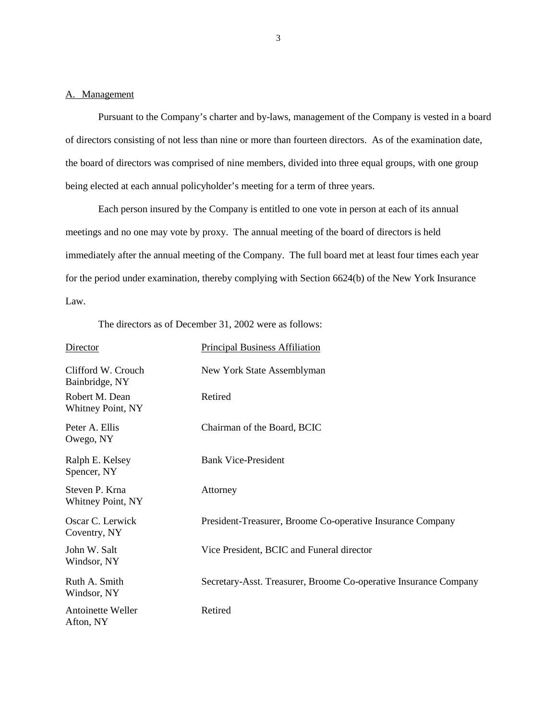#### <span id="page-4-0"></span>A. Management

Pursuant to the Company's charter and by-laws, management of the Company is vested in a board of directors consisting of not less than nine or more than fourteen directors. As of the examination date, the board of directors was comprised of nine members, divided into three equal groups, with one group being elected at each annual policyholder's meeting for a term of three years.

Each person insured by the Company is entitled to one vote in person at each of its annual meetings and no one may vote by proxy. The annual meeting of the board of directors is held immediately after the annual meeting of the Company. The full board met at least four times each year for the period under examination, thereby complying with Section 6624(b) of the New York Insurance Law.

The directors as of December 31, 2002 were as follows:

| <b>Director</b>                      | <b>Principal Business Affiliation</b>                            |
|--------------------------------------|------------------------------------------------------------------|
| Clifford W. Crouch<br>Bainbridge, NY | New York State Assemblyman                                       |
| Robert M. Dean<br>Whitney Point, NY  | Retired                                                          |
| Peter A. Ellis<br>Owego, NY          | Chairman of the Board, BCIC                                      |
| Ralph E. Kelsey<br>Spencer, NY       | <b>Bank Vice-President</b>                                       |
| Steven P. Krna<br>Whitney Point, NY  | Attorney                                                         |
| Oscar C. Lerwick<br>Coventry, NY     | President-Treasurer, Broome Co-operative Insurance Company       |
| John W. Salt<br>Windsor, NY          | Vice President, BCIC and Funeral director                        |
| Ruth A. Smith<br>Windsor, NY         | Secretary-Asst. Treasurer, Broome Co-operative Insurance Company |
| Antoinette Weller<br>Afton, NY       | Retired                                                          |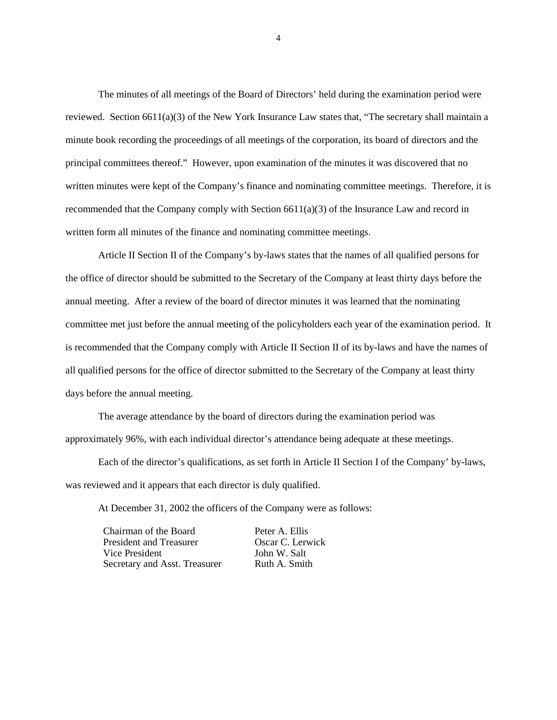The minutes of all meetings of the Board of Directors' held during the examination period were reviewed. Section  $6611(a)(3)$  of the New York Insurance Law states that, "The secretary shall maintain a minute book recording the proceedings of all meetings of the corporation, its board of directors and the principal committees thereof." However, upon examination of the minutes it was discovered that no written minutes were kept of the Company's finance and nominating committee meetings. Therefore, it is recommended that the Company comply with Section 6611(a)(3) of the Insurance Law and record in written form all minutes of the finance and nominating committee meetings.

Article II Section II of the Company's by-laws states that the names of all qualified persons for the office of director should be submitted to the Secretary of the Company at least thirty days before the annual meeting. After a review of the board of director minutes it was learned that the nominating committee met just before the annual meeting of the policyholders each year of the examination period. It is recommended that the Company comply with Article II Section II of its by-laws and have the names of all qualified persons for the office of director submitted to the Secretary of the Company at least thirty days before the annual meeting.

The average attendance by the board of directors during the examination period was approximately 96%, with each individual director's attendance being adequate at these meetings.

 was reviewed and it appears that each director is duly qualified. Each of the director's qualifications, as set forth in Article II Section I of the Company' by-laws,

At December 31, 2002 the officers of the Company were as follows:

| Chairman of the Board         |  |
|-------------------------------|--|
| President and Treasurer       |  |
| Vice President                |  |
| Secretary and Asst. Treasurer |  |

Peter A. Ellis **Oscar C. Lerwick** John W. Salt Ruth A. Smith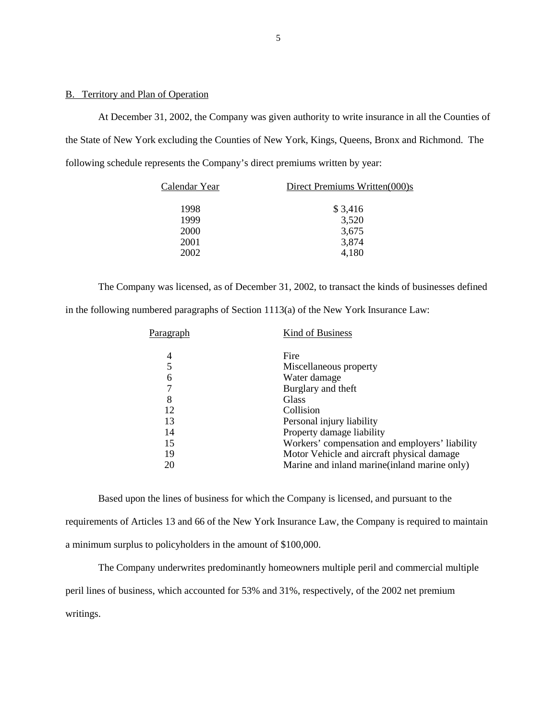### <span id="page-6-0"></span>B. Territory and Plan of Operation

At December 31, 2002, the Company was given authority to write insurance in all the Counties of the State of New York excluding the Counties of New York, Kings, Queens, Bronx and Richmond. The following schedule represents the Company's direct premiums written by year:

| Calendar Year | Direct Premiums Written(000)s |  |  |
|---------------|-------------------------------|--|--|
| 1998          | \$3,416                       |  |  |
| 1999          | 3,520                         |  |  |
| <b>2000</b>   | 3,675                         |  |  |
| 2001          | 3,874                         |  |  |
| 2002          | 4,180                         |  |  |

The Company was licensed, as of December 31, 2002, to transact the kinds of businesses defined in the following numbered paragraphs of Section 1113(a) of the New York Insurance Law:

| Paragraph | Kind of Business                               |
|-----------|------------------------------------------------|
| 4         | Fire                                           |
| 5         | Miscellaneous property                         |
| 6         | Water damage                                   |
| 7         | Burglary and theft                             |
| 8         | Glass                                          |
| 12        | Collision                                      |
| 13        | Personal injury liability                      |
| 14        | Property damage liability                      |
| 15        | Workers' compensation and employers' liability |
| 19        | Motor Vehicle and aircraft physical damage     |
| 20        | Marine and inland marine (inland marine only)  |
|           |                                                |

Based upon the lines of business for which the Company is licensed, and pursuant to the requirements of Articles 13 and 66 of the New York Insurance Law, the Company is required to maintain a minimum surplus to policyholders in the amount of \$100,000.

The Company underwrites predominantly homeowners multiple peril and commercial multiple peril lines of business, which accounted for 53% and 31%, respectively, of the 2002 net premium writings.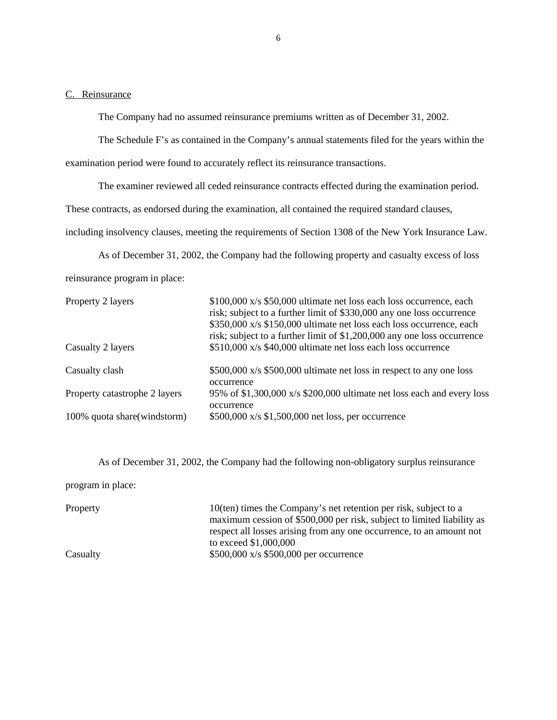#### <span id="page-7-0"></span>C. Reinsurance

The Company had no assumed reinsurance premiums written as of December 31, 2002.

The Schedule F's as contained in the Company's annual statements filed for the years within the

examination period were found to accurately reflect its reinsurance transactions.

The examiner reviewed all ceded reinsurance contracts effected during the examination period.

These contracts, as endorsed during the examination, all contained the required standard clauses,

including insolvency clauses, meeting the requirements of Section 1308 of the New York Insurance Law.

As of December 31, 2002, the Company had the following property and casualty excess of loss reinsurance program in place:

| Property 2 layers             | \$100,000 x/s \$50,000 ultimate net loss each loss occurrence, each<br>risk; subject to a further limit of \$330,000 any one loss occurrence<br>\$350,000 x/s \$150,000 ultimate net loss each loss occurrence, each<br>risk; subject to a further limit of \$1,200,000 any one loss occurrence |
|-------------------------------|-------------------------------------------------------------------------------------------------------------------------------------------------------------------------------------------------------------------------------------------------------------------------------------------------|
| Casualty 2 layers             | \$510,000 x/s \$40,000 ultimate net loss each loss occurrence                                                                                                                                                                                                                                   |
| Casualty clash                | \$500,000 x/s \$500,000 ultimate net loss in respect to any one loss<br>occurrence                                                                                                                                                                                                              |
| Property catastrophe 2 layers | 95% of \$1,300,000 x/s \$200,000 ultimate net loss each and every loss<br>occurrence                                                                                                                                                                                                            |
| 100% quota share (windstorm)  | \$500,000 x/s \$1,500,000 net loss, per occurrence                                                                                                                                                                                                                                              |

As of December 31, 2002, the Company had the following non-obligatory surplus reinsurance

program in place:

Property 10(ten) times the Company's net retention per risk, subject to a maximum cession of \$500,000 per risk, subject to limited liability as respect all losses arising from any one occurrence, to an amount not to exceed \$1,000,000 Casualty \$500,000 x/s \$500,000 per occurrence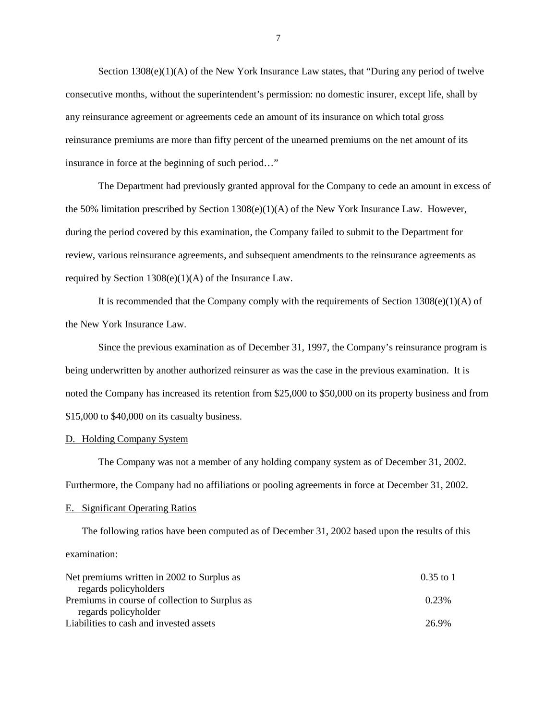<span id="page-8-0"></span>Section  $1308(e)(1)(A)$  of the New York Insurance Law states, that "During any period of twelve consecutive months, without the superintendent's permission: no domestic insurer, except life, shall by any reinsurance agreement or agreements cede an amount of its insurance on which total gross reinsurance premiums are more than fifty percent of the unearned premiums on the net amount of its insurance in force at the beginning of such period…"

The Department had previously granted approval for the Company to cede an amount in excess of the 50% limitation prescribed by Section 1308(e)(1)(A) of the New York Insurance Law. However, during the period covered by this examination, the Company failed to submit to the Department for review, various reinsurance agreements, and subsequent amendments to the reinsurance agreements as required by Section 1308(e)(1)(A) of the Insurance Law.

It is recommended that the Company comply with the requirements of Section 1308(e)(1)(A) of the New York Insurance Law.

Since the previous examination as of December 31, 1997, the Company's reinsurance program is being underwritten by another authorized reinsurer as was the case in the previous examination. It is noted the Company has increased its retention from \$25,000 to \$50,000 on its property business and from \$15,000 to \$40,000 on its casualty business.

#### D. Holding Company System

The Company was not a member of any holding company system as of December 31, 2002. Furthermore, the Company had no affiliations or pooling agreements in force at December 31, 2002.

#### E. Significant Operating Ratios

The following ratios have been computed as of December 31, 2002 based upon the results of this examination:

| Net premiums written in 2002 to Surplus as     | 0.35 to 1 |
|------------------------------------------------|-----------|
| regards policyholders                          |           |
| Premiums in course of collection to Surplus as | 0.23%     |
| regards policyholder                           |           |
| Liabilities to cash and invested assets        | 26.9%     |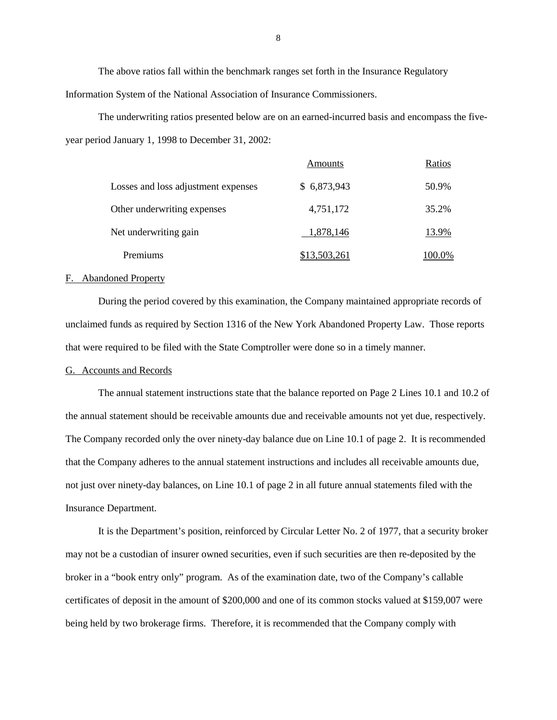The above ratios fall within the benchmark ranges set forth in the Insurance Regulatory Information System of the National Association of Insurance Commissioners.

The underwriting ratios presented below are on an earned-incurred basis and encompass the fiveyear period January 1, 1998 to December 31, 2002:

|                                     | Amounts      | Ratios |
|-------------------------------------|--------------|--------|
| Losses and loss adjustment expenses | \$6,873,943  | 50.9%  |
| Other underwriting expenses         | 4,751,172    | 35.2%  |
| Net underwriting gain               | 1,878,146    | 13.9%  |
| Premiums                            | \$13,503,261 | 100.0% |

#### F. Abandoned Property

During the period covered by this examination, the Company maintained appropriate records of unclaimed funds as required by Section 1316 of the New York Abandoned Property Law. Those reports that were required to be filed with the State Comptroller were done so in a timely manner.

### G. Accounts and Records

The annual statement instructions state that the balance reported on Page 2 Lines 10.1 and 10.2 of the annual statement should be receivable amounts due and receivable amounts not yet due, respectively. The Company recorded only the over ninety-day balance due on Line 10.1 of page 2. It is recommended that the Company adheres to the annual statement instructions and includes all receivable amounts due, not just over ninety-day balances, on Line 10.1 of page 2 in all future annual statements filed with the Insurance Department.

It is the Department's position, reinforced by Circular Letter No. 2 of 1977, that a security broker may not be a custodian of insurer owned securities, even if such securities are then re-deposited by the broker in a "book entry only" program. As of the examination date, two of the Company's callable certificates of deposit in the amount of \$200,000 and one of its common stocks valued at \$159,007 were being held by two brokerage firms. Therefore, it is recommended that the Company comply with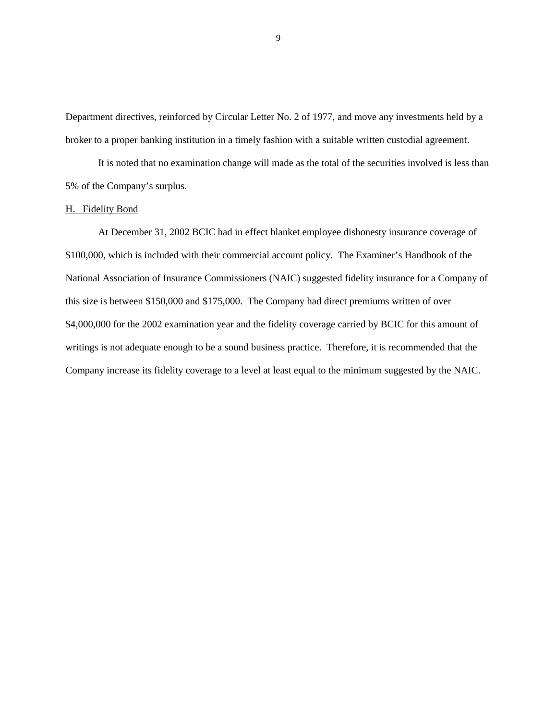<span id="page-10-0"></span>Department directives, reinforced by Circular Letter No. 2 of 1977, and move any investments held by a broker to a proper banking institution in a timely fashion with a suitable written custodial agreement.

It is noted that no examination change will made as the total of the securities involved is less than 5% of the Company's surplus.

### H. Fidelity Bond

 \$100,000, which is included with their commercial account policy. The Examiner's Handbook of the At December 31, 2002 BCIC had in effect blanket employee dishonesty insurance coverage of National Association of Insurance Commissioners (NAIC) suggested fidelity insurance for a Company of this size is between \$150,000 and \$175,000. The Company had direct premiums written of over \$4,000,000 for the 2002 examination year and the fidelity coverage carried by BCIC for this amount of writings is not adequate enough to be a sound business practice. Therefore, it is recommended that the Company increase its fidelity coverage to a level at least equal to the minimum suggested by the NAIC.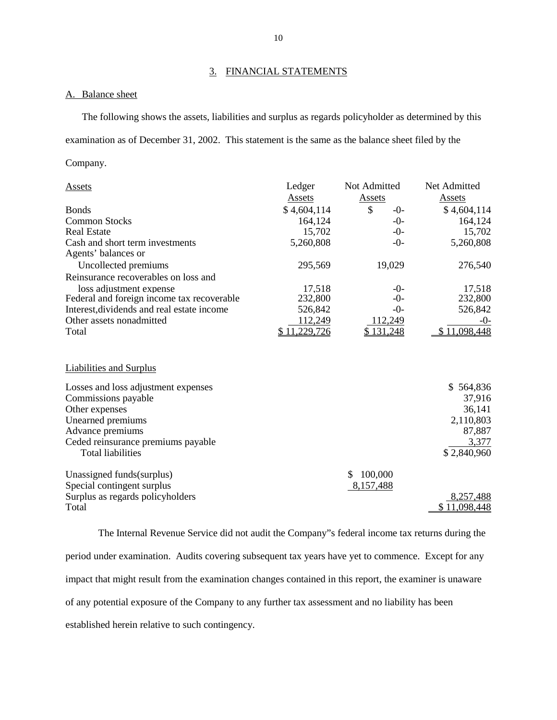## 3. FINANCIAL STATEMENTS

#### A. Balance sheet

The following shows the assets, liabilities and surplus as regards policyholder as determined by this examination as of December 31, 2002. This statement is the same as the balance sheet filed by the

Company.

| <b>Assets</b>                                          | Ledger       | Not Admitted | Net Admitted |
|--------------------------------------------------------|--------------|--------------|--------------|
|                                                        | Assets       | Assets       | Assets       |
| <b>Bonds</b>                                           | \$4,604,114  | \$<br>$-0-$  | \$4,604,114  |
| <b>Common Stocks</b>                                   | 164,124      | $-0-$        | 164,124      |
| <b>Real Estate</b>                                     | 15,702       | $-0-$        | 15,702       |
| Cash and short term investments<br>Agents' balances or | 5,260,808    | $-0-$        | 5,260,808    |
| Uncollected premiums                                   | 295,569      | 19,029       | 276,540      |
| Reinsurance recoverables on loss and                   |              |              |              |
| loss adjustment expense                                | 17,518       | -0-          | 17,518       |
| Federal and foreign income tax recoverable             | 232,800      | -0-          | 232,800      |
| Interest, dividends and real estate income             | 526,842      | $-0-$        | 526,842      |
| Other assets nonadmitted                               | 112,249      | 112,249      | $-0-$        |
| Total                                                  | \$11,229,726 | \$131,248    | \$11,098,448 |
| <b>Liabilities and Surplus</b>                         |              |              |              |
| Losses and loss adjustment expenses                    |              |              | \$564,836    |
| Commissions payable                                    |              |              | 37,916       |
| Other expenses                                         |              |              | 36,141       |
| Unearned premiums                                      |              |              | 2,110,803    |
| Advance premiums                                       |              |              | 87,887       |
| Ceded reinsurance premiums payable                     |              |              | 3,377        |
| <b>Total liabilities</b>                               |              |              | \$2,840,960  |
| Unassigned funds (surplus)                             |              | 100,000<br>S |              |
| Special contingent surplus                             |              | 8,157,488    |              |
| Surplus as regards policyholders                       |              |              | 8,257,488    |
| Total                                                  |              |              | \$11,098,448 |

The Internal Revenue Service did not audit the Company"s federal income tax returns during the period under examination. Audits covering subsequent tax years have yet to commence. Except for any impact that might result from the examination changes contained in this report, the examiner is unaware of any potential exposure of the Company to any further tax assessment and no liability has been established herein relative to such contingency.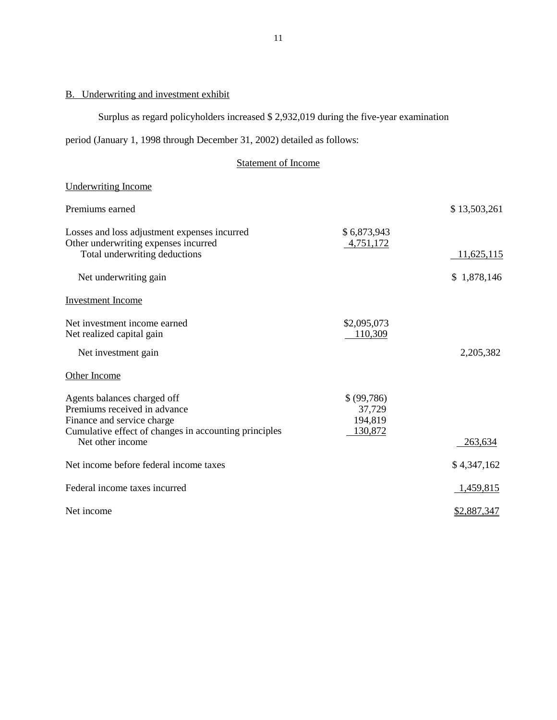# <span id="page-12-0"></span>B. Underwriting and investment exhibit

Surplus as regard policyholders increased \$ 2,932,019 during the five-year examination

period (January 1, 1998 through December 31, 2002) detailed as follows:

# Statement of Income

## Underwriting Income

| Premiums earned                                                                      |                          | \$13,503,261 |
|--------------------------------------------------------------------------------------|--------------------------|--------------|
| Losses and loss adjustment expenses incurred<br>Other underwriting expenses incurred | \$6,873,943<br>4,751,172 |              |
| Total underwriting deductions                                                        |                          | 11,625,115   |
| Net underwriting gain                                                                |                          | \$1,878,146  |
| <b>Investment Income</b>                                                             |                          |              |
| Net investment income earned<br>Net realized capital gain                            | \$2,095,073<br>110,309   |              |
| Net investment gain                                                                  |                          | 2,205,382    |
| Other Income                                                                         |                          |              |
| Agents balances charged off                                                          | \$ (99, 786)             |              |
| Premiums received in advance                                                         | 37,729                   |              |
| Finance and service charge<br>Cumulative effect of changes in accounting principles  | 194,819<br>130,872       |              |
| Net other income                                                                     |                          | 263,634      |
| Net income before federal income taxes                                               |                          | \$4,347,162  |
| Federal income taxes incurred                                                        |                          | 1,459,815    |
| Net income                                                                           |                          | \$2,887,347  |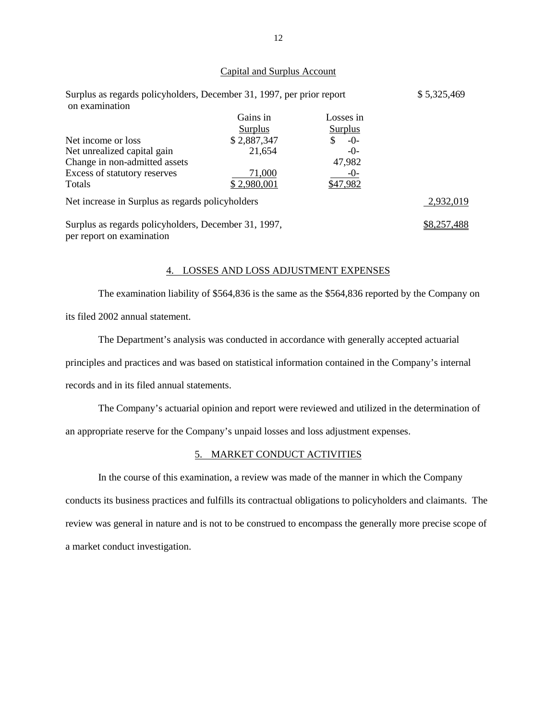### Capital and Surplus Account

| Surplus as regards policyholders, December 31, 1997, per prior report<br>on examination |                | \$5,325,469    |             |
|-----------------------------------------------------------------------------------------|----------------|----------------|-------------|
|                                                                                         | Gains in       | Losses in      |             |
|                                                                                         | <b>Surplus</b> | <b>Surplus</b> |             |
| Net income or loss                                                                      | \$2,887,347    | $-0-$          |             |
| Net unrealized capital gain                                                             | 21,654         | $-()$          |             |
| Change in non-admitted assets                                                           |                | 47,982         |             |
| Excess of statutory reserves                                                            | 71,000         | $-()$ -        |             |
| Totals                                                                                  | \$2,980,001    | \$47,982       |             |
| Net increase in Surplus as regards policyholders                                        |                |                | 2,932,019   |
| Surplus as regards policyholders, December 31, 1997,<br>per report on examination       |                |                | \$8,257,488 |

### 4. LOSSES AND LOSS ADJUSTMENT EXPENSES

The examination liability of \$564,836 is the same as the \$564,836 reported by the Company on its filed 2002 annual statement.

The Department's analysis was conducted in accordance with generally accepted actuarial principles and practices and was based on statistical information contained in the Company's internal records and in its filed annual statements.

The Company's actuarial opinion and report were reviewed and utilized in the determination of an appropriate reserve for the Company's unpaid losses and loss adjustment expenses.

### 5. MARKET CONDUCT ACTIVITIES

In the course of this examination, a review was made of the manner in which the Company conducts its business practices and fulfills its contractual obligations to policyholders and claimants. The review was general in nature and is not to be construed to encompass the generally more precise scope of a market conduct investigation.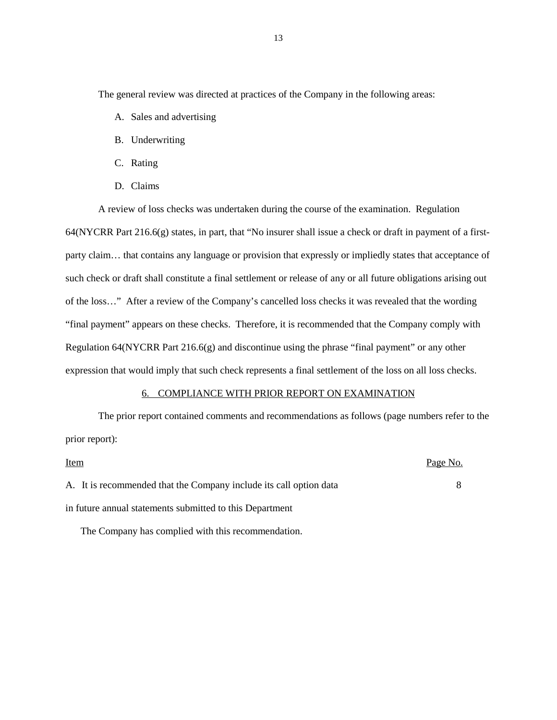<span id="page-14-0"></span>The general review was directed at practices of the Company in the following areas:

- A. Sales and advertising
- B. Underwriting
- C. Rating
- D. Claims

A review of loss checks was undertaken during the course of the examination. Regulation 64(NYCRR Part 216.6(g) states, in part, that "No insurer shall issue a check or draft in payment of a firstparty claim… that contains any language or provision that expressly or impliedly states that acceptance of such check or draft shall constitute a final settlement or release of any or all future obligations arising out of the loss…" After a review of the Company's cancelled loss checks it was revealed that the wording "final payment" appears on these checks. Therefore, it is recommended that the Company comply with Regulation 64(NYCRR Part 216.6(g) and discontinue using the phrase "final payment" or any other expression that would imply that such check represents a final settlement of the loss on all loss checks.

#### 6. COMPLIANCE WITH PRIOR REPORT ON EXAMINATION

The prior report contained comments and recommendations as follows (page numbers refer to the prior report):

Item Page No. A. It is recommended that the Company include its call option data 8 in future annual statements submitted to this Department

The Company has complied with this recommendation.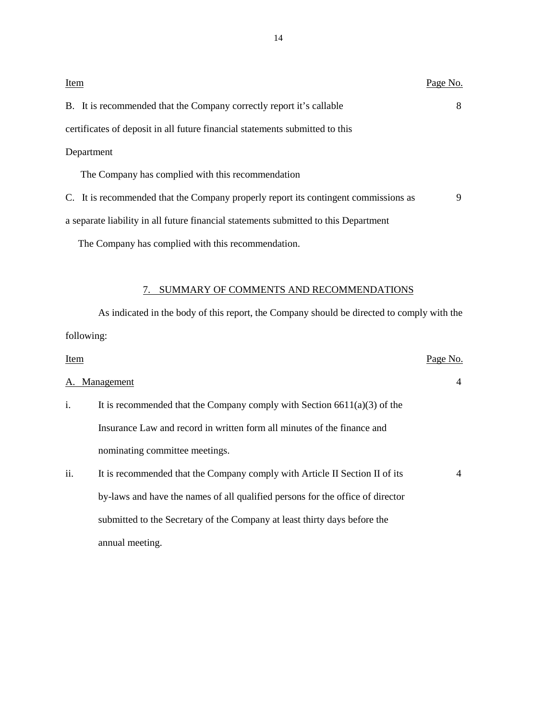<span id="page-15-0"></span>

| <b>Item</b>                                                                          | Page No. |
|--------------------------------------------------------------------------------------|----------|
| B. It is recommended that the Company correctly report it's callable                 | 8        |
| certificates of deposit in all future financial statements submitted to this         |          |
| Department                                                                           |          |
| The Company has complied with this recommendation                                    |          |
| C. It is recommended that the Company properly report its contingent commissions as  | 9        |
| a separate liability in all future financial statements submitted to this Department |          |

The Company has complied with this recommendation.

## 7. SUMMARY OF COMMENTS AND RECOMMENDATIONS

As indicated in the body of this report, the Company should be directed to comply with the following:

| Item |                                                                                | Page No.       |
|------|--------------------------------------------------------------------------------|----------------|
|      | A. Management                                                                  | $\overline{4}$ |
| i.   | It is recommended that the Company comply with Section $6611(a)(3)$ of the     |                |
|      | Insurance Law and record in written form all minutes of the finance and        |                |
|      | nominating committee meetings.                                                 |                |
| ii.  | It is recommended that the Company comply with Article II Section II of its    | $\overline{4}$ |
|      | by-laws and have the names of all qualified persons for the office of director |                |
|      | submitted to the Secretary of the Company at least thirty days before the      |                |
|      | annual meeting.                                                                |                |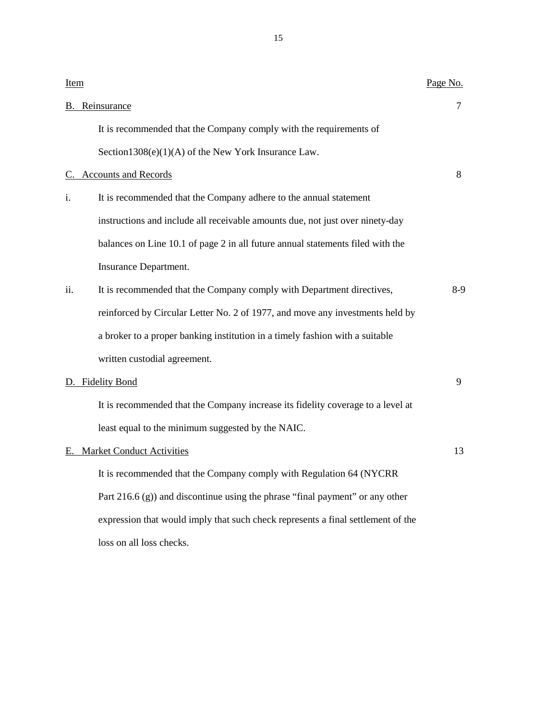| <b>Item</b> |                                                                                  | Page No. |
|-------------|----------------------------------------------------------------------------------|----------|
|             | <b>B.</b> Reinsurance                                                            | 7        |
|             | It is recommended that the Company comply with the requirements of               |          |
|             | Section1308(e) $(1)(A)$ of the New York Insurance Law.                           |          |
|             | C. Accounts and Records                                                          | 8        |
| i.          | It is recommended that the Company adhere to the annual statement                |          |
|             | instructions and include all receivable amounts due, not just over ninety-day    |          |
|             | balances on Line 10.1 of page 2 in all future annual statements filed with the   |          |
|             | Insurance Department.                                                            |          |
| ii.         | It is recommended that the Company comply with Department directives,            | $8-9$    |
|             | reinforced by Circular Letter No. 2 of 1977, and move any investments held by    |          |
|             | a broker to a proper banking institution in a timely fashion with a suitable     |          |
|             | written custodial agreement.                                                     |          |
|             | D. Fidelity Bond                                                                 | 9        |
|             | It is recommended that the Company increase its fidelity coverage to a level at  |          |
|             | least equal to the minimum suggested by the NAIC.                                |          |
| Е.          | <b>Market Conduct Activities</b>                                                 | 13       |
|             | It is recommended that the Company comply with Regulation 64 (NYCRR              |          |
|             | Part $216.6$ (g)) and discontinue using the phrase "final payment" or any other  |          |
|             | expression that would imply that such check represents a final settlement of the |          |
|             | loss on all loss checks.                                                         |          |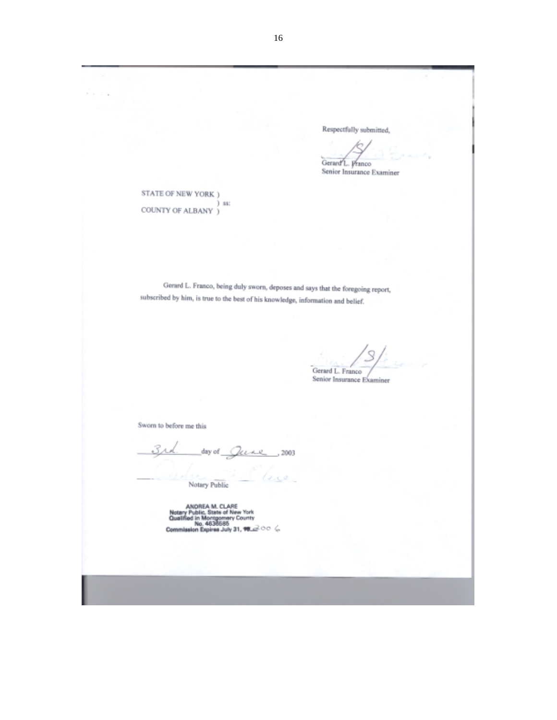$\cdots$ Respectfully submitted, Gerard L. Pranco Senior Insurance Examiner STATE OF NEW YORK ) ) ss: COUNTY OF ALBANY  $\acute{j}$ Gerard L. Franco, being duly sworn, deposes and says that the foregoing report, subscribed by him, is true to the best of his knowledge, information and belief. -Cierard L. Franco<br>Senior Insurance Examiner Sworn to before me this  $day of$   $Quae$ , 2003 dece. Notary Public ANDREA M. CLARE<br>Notary Public, State of New York<br>Qualified in Montgomery County<br>Commission Expires July 31, 16.23 OC